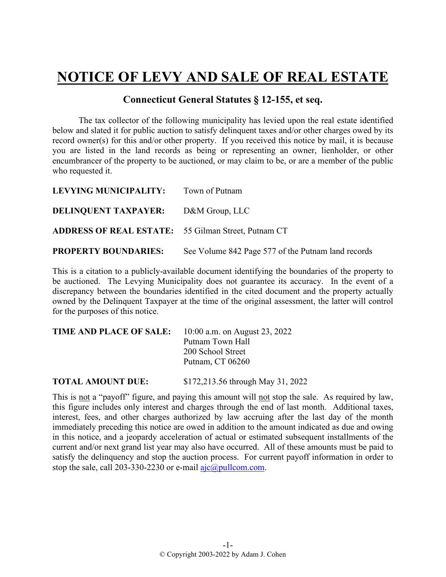## **NOTICE OF LEVY AND SALE OF REAL ESTATE**

## **Connecticut General Statutes § 12-155, et seq.**

The tax collector of the following municipality has levied upon the real estate identified below and slated it for public auction to satisfy delinquent taxes and/or other charges owed by its record owner(s) for this and/or other property. If you received this notice by mail, it is because you are listed in the land records as being or representing an owner, lienholder, or other encumbrancer of the property to be auctioned, or may claim to be, or are a member of the public who requested it.

| LEVYING MUNICIPALITY: Town of Putnam                       |                                                    |
|------------------------------------------------------------|----------------------------------------------------|
| <b>DELINQUENT TAXPAYER:</b> D&M Group, LLC                 |                                                    |
| <b>ADDRESS OF REAL ESTATE:</b> 55 Gilman Street, Putnam CT |                                                    |
| <b>PROPERTY BOUNDARIES:</b>                                | See Volume 842 Page 577 of the Putnam land records |

This is a citation to a publicly-available document identifying the boundaries of the property to be auctioned. The Levying Municipality does not guarantee its accuracy. In the event of a discrepancy between the boundaries identified in the cited document and the property actually owned by the Delinquent Taxpayer at the time of the original assessment, the latter will control for the purposes of this notice.

| <b>TIME AND PLACE OF SALE:</b> | 10:00 a.m. on August 23, 2022 |  |  |  |  |
|--------------------------------|-------------------------------|--|--|--|--|
|                                | Putnam Town Hall              |  |  |  |  |
|                                | 200 School Street             |  |  |  |  |
|                                | Putnam, CT 06260              |  |  |  |  |
|                                |                               |  |  |  |  |

**TOTAL AMOUNT DUE:** \$172,213.56 through May 31, 2022

This is not a "payoff" figure, and paying this amount will not stop the sale. As required by law, this figure includes only interest and charges through the end of last month. Additional taxes, interest, fees, and other charges authorized by law accruing after the last day of the month immediately preceding this notice are owed in addition to the amount indicated as due and owing in this notice, and a jeopardy acceleration of actual or estimated subsequent installments of the current and/or next grand list year may also have occurred. All of these amounts must be paid to satisfy the delinquency and stop the auction process. For current payoff information in order to stop the sale, call 203-330-2230 or e-mail  $a$ jc $@p$ ullcom.com.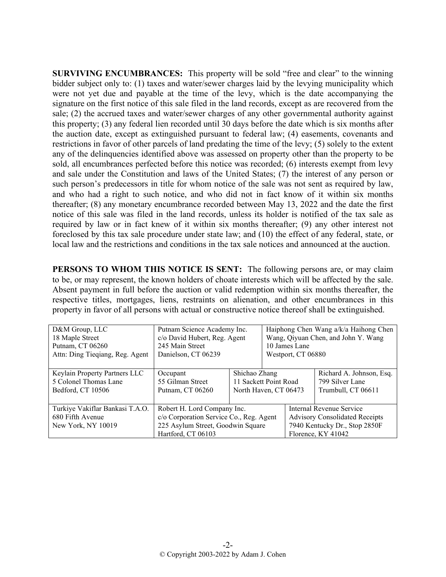**SURVIVING ENCUMBRANCES:** This property will be sold "free and clear" to the winning bidder subject only to: (1) taxes and water/sewer charges laid by the levying municipality which were not yet due and payable at the time of the levy, which is the date accompanying the signature on the first notice of this sale filed in the land records, except as are recovered from the sale; (2) the accrued taxes and water/sewer charges of any other governmental authority against this property; (3) any federal lien recorded until 30 days before the date which is six months after the auction date, except as extinguished pursuant to federal law; (4) easements, covenants and restrictions in favor of other parcels of land predating the time of the levy; (5) solely to the extent any of the delinquencies identified above was assessed on property other than the property to be sold, all encumbrances perfected before this notice was recorded; (6) interests exempt from levy and sale under the Constitution and laws of the United States; (7) the interest of any person or such person's predecessors in title for whom notice of the sale was not sent as required by law, and who had a right to such notice, and who did not in fact know of it within six months thereafter; (8) any monetary encumbrance recorded between May 13, 2022 and the date the first notice of this sale was filed in the land records, unless its holder is notified of the tax sale as required by law or in fact knew of it within six months thereafter; (9) any other interest not foreclosed by this tax sale procedure under state law; and (10) the effect of any federal, state, or local law and the restrictions and conditions in the tax sale notices and announced at the auction.

**PERSONS TO WHOM THIS NOTICE IS SENT:** The following persons are, or may claim to be, or may represent, the known holders of choate interests which will be affected by the sale. Absent payment in full before the auction or valid redemption within six months thereafter, the respective titles, mortgages, liens, restraints on alienation, and other encumbrances in this property in favor of all persons with actual or constructive notice thereof shall be extinguished.

| D&M Group, LLC                                                            | Putnam Science Academy Inc.                                                                                                       |                       | Haiphong Chen Wang a/k/a Haihong Chen |                                                                                                                          |                          |
|---------------------------------------------------------------------------|-----------------------------------------------------------------------------------------------------------------------------------|-----------------------|---------------------------------------|--------------------------------------------------------------------------------------------------------------------------|--------------------------|
| 18 Maple Street                                                           | c/o David Hubert, Reg. Agent                                                                                                      |                       | Wang, Qiyuan Chen, and John Y. Wang   |                                                                                                                          |                          |
| Putnam, CT 06260                                                          | 245 Main Street                                                                                                                   |                       | 10 James Lane                         |                                                                                                                          |                          |
| Attn: Ding Tieqiang, Reg. Agent                                           | Danielson, CT 06239                                                                                                               |                       | Westport, CT 06880                    |                                                                                                                          |                          |
|                                                                           |                                                                                                                                   |                       |                                       |                                                                                                                          |                          |
| Keylain Property Partners LLC                                             | Occupant                                                                                                                          | Shichao Zhang         |                                       |                                                                                                                          | Richard A. Johnson, Esq. |
| 5 Colonel Thomas Lane                                                     | 55 Gilman Street                                                                                                                  | 11 Sackett Point Road |                                       |                                                                                                                          | 799 Silver Lane          |
| Bedford, CT 10506                                                         | Putnam, CT 06260                                                                                                                  | North Haven, CT 06473 |                                       |                                                                                                                          | Trumbull, CT 06611       |
| Turkiye Vakiflar Bankasi T.A.O.<br>680 Fifth Avenue<br>New York, NY 10019 | Robert H. Lord Company Inc.<br>c/o Corporation Service Co., Reg. Agent<br>225 Asylum Street, Goodwin Square<br>Hartford, CT 06103 |                       |                                       | Internal Revenue Service<br><b>Advisory Consolidated Receipts</b><br>7940 Kentucky Dr., Stop 2850F<br>Florence, KY 41042 |                          |